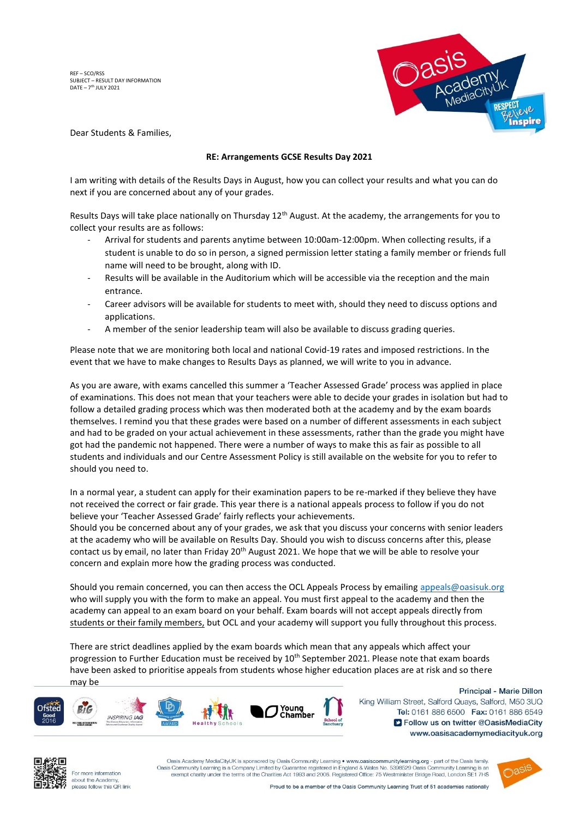REF – SCO/RSS SUBJECT – RESULT DAY INFORMATION DATE - 7<sup>th</sup> JULY 2021



Dear Students & Families,

## **RE: Arrangements GCSE Results Day 2021**

I am writing with details of the Results Days in August, how you can collect your results and what you can do next if you are concerned about any of your grades.

Results Days will take place nationally on Thursday 12<sup>th</sup> August. At the academy, the arrangements for you to collect your results are as follows:

- Arrival for students and parents anytime between 10:00am-12:00pm. When collecting results, if a student is unable to do so in person, a signed permission letter stating a family member or friends full name will need to be brought, along with ID.
- Results will be available in the Auditorium which will be accessible via the reception and the main entrance.
- Career advisors will be available for students to meet with, should they need to discuss options and applications.
- A member of the senior leadership team will also be available to discuss grading queries.

Please note that we are monitoring both local and national Covid-19 rates and imposed restrictions. In the event that we have to make changes to Results Days as planned, we will write to you in advance.

As you are aware, with exams cancelled this summer a 'Teacher Assessed Grade' process was applied in place of examinations. This does not mean that your teachers were able to decide your grades in isolation but had to follow a detailed grading process which was then moderated both at the academy and by the exam boards themselves. I remind you that these grades were based on a number of different assessments in each subject and had to be graded on your actual achievement in these assessments, rather than the grade you might have got had the pandemic not happened. There were a number of ways to make this as fair as possible to all students and individuals and our Centre Assessment Policy is still available on the website for you to refer to should you need to.

In a normal year, a student can apply for their examination papers to be re-marked if they believe they have not received the correct or fair grade. This year there is a national appeals process to follow if you do not believe your 'Teacher Assessed Grade' fairly reflects your achievements.

Should you be concerned about any of your grades, we ask that you discuss your concerns with senior leaders at the academy who will be available on Results Day. Should you wish to discuss concerns after this, please contact us by email, no later than Friday 20<sup>th</sup> August 2021. We hope that we will be able to resolve your concern and explain more how the grading process was conducted.

Should you remain concerned, you can then access the OCL Appeals Process by emailing [appeals@oasisuk.org](mailto:appeals@oasisuk.org) who will supply you with the form to make an appeal. You must first appeal to the academy and then the academy can appeal to an exam board on your behalf. Exam boards will not accept appeals directly from students or their family members, but OCL and your academy will support you fully throughout this process.

There are strict deadlines applied by the exam boards which mean that any appeals which affect your progression to Further Education must be received by 10<sup>th</sup> September 2021. Please note that exam boards have been asked to prioritise appeals from students whose higher education places are at risk and so there may be



Principal - Marie Dillon King William Street, Salford Quays, Salford, M50 3UQ Tel: 0161 886 6500 Fax: 0161 886 6549 S Follow us on twitter @OasisMediaCity www.oasisacademymediacityuk.org



For more information about the Academy please follow this QR link

Oasis Academy MediaCityUK is sponsored by Oasis Community Learning • www.oasiscommunitylearning.org - part of the Oasis family Oasis Community Learning is a Company Limited by Guarantee registered in England & Wales No. 5398529 Oasis Community Learnin exempt charity under the terms of the Charities Act 1993 and 2006. Registered Office: 75 Westminister Bridge Road, London SE1 7HS



Proud to be a member of the Oasis Community Learning Trust of 51 academies nationally